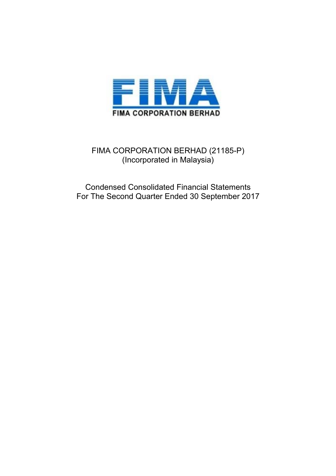

FIMA CORPORATION BERHAD (21185-P) (Incorporated in Malaysia)

Condensed Consolidated Financial Statements For The Second Quarter Ended 30 September 2017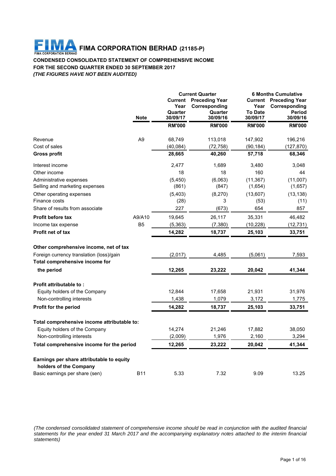# FINA CORPORATION BERHAD (21185-P)

## **CONDENSED CONSOLIDATED STATEMENT OF COMPREHENSIVE INCOME FOR THE SECOND QUARTER ENDED 30 SEPTEMBER 2017** *(THE FIGURES HAVE NOT BEEN AUDITED)*

|                                                                     |                | <b>Current Quarter</b> |                       | <b>6 Months Cumulative</b> |                       |
|---------------------------------------------------------------------|----------------|------------------------|-----------------------|----------------------------|-----------------------|
|                                                                     |                | <b>Current</b>         | <b>Preceding Year</b> | Current                    | <b>Preceding Year</b> |
|                                                                     |                | Year                   | Corresponding         | Year                       | Corresponding         |
|                                                                     | <b>Note</b>    | Quarter<br>30/09/17    | Quarter<br>30/09/16   | <b>To Date</b><br>30/09/17 | Period<br>30/09/16    |
|                                                                     |                | <b>RM'000</b>          | <b>RM'000</b>         | <b>RM'000</b>              | <b>RM'000</b>         |
|                                                                     |                |                        |                       |                            |                       |
| Revenue                                                             | A <sub>9</sub> | 68,749                 | 113,018               | 147,902                    | 196,216               |
| Cost of sales                                                       |                | (40,084)               | (72, 758)             | (90, 184)                  | (127, 870)            |
| <b>Gross profit</b>                                                 |                | 28,665                 | 40,260                | 57,718                     | 68,346                |
| Interest income                                                     |                | 2,477                  | 1,689                 | 3,480                      | 3,048                 |
| Other income                                                        |                | 18                     | 18                    | 160                        | 44                    |
| Administrative expenses                                             |                | (5, 450)               | (6,063)               | (11, 367)                  | (11,007)              |
| Selling and marketing expenses                                      |                | (861)                  | (847)                 | (1,654)                    | (1,657)               |
| Other operating expenses                                            |                | (5,403)                | (8,270)               | (13,607)                   | (13, 138)             |
| Finance costs                                                       |                | (28)                   | 3                     | (53)                       | (11)                  |
| Share of results from associate                                     |                | 227                    | (673)                 | 654                        | 857                   |
| <b>Profit before tax</b>                                            | A9/A10         | 19,645                 | 26,117                | 35,331                     | 46,482                |
| Income tax expense                                                  | B <sub>5</sub> | (5, 363)               | (7, 380)              | (10, 228)                  | (12, 731)             |
| Profit net of tax                                                   |                | 14,282                 | 18,737                | 25,103                     | 33,751                |
|                                                                     |                |                        |                       |                            |                       |
| Other comprehensive income, net of tax                              |                |                        |                       |                            |                       |
| Foreign currency translation (loss)/gain                            |                | (2,017)                | 4,485                 | (5,061)                    | 7,593                 |
| Total comprehensive income for                                      |                |                        |                       |                            |                       |
| the period                                                          |                | 12,265                 | 23,222                | 20,042                     | 41,344                |
| Profit attributable to:                                             |                |                        |                       |                            |                       |
| Equity holders of the Company                                       |                | 12,844                 | 17,658                | 21,931                     | 31,976                |
| Non-controlling interests                                           |                | 1,438                  | 1,079                 | 3,172                      | 1,775                 |
| <b>Profit for the period</b>                                        |                | 14,282                 | 18,737                | 25,103                     | 33,751                |
|                                                                     |                |                        |                       |                            |                       |
| Total comprehensive income attributable to:                         |                |                        |                       |                            |                       |
| Equity holders of the Company                                       |                | 14,274                 | 21,246                | 17,882                     | 38,050                |
| Non-controlling interests                                           |                | (2,009)                | 1,976                 | 2,160                      | 3,294                 |
| Total comprehensive income for the period                           |                | 12,265                 | 23,222                | 20,042                     | 41,344                |
|                                                                     |                |                        |                       |                            |                       |
| Earnings per share attributable to equity<br>holders of the Company |                |                        |                       |                            |                       |
| Basic earnings per share (sen)                                      | <b>B11</b>     | 5.33                   | 7.32                  | 9.09                       | 13.25                 |
|                                                                     |                |                        |                       |                            |                       |

*(The condensed consolidated statement of comprehensive income should be read in conjunction with the audited financial statements for the year ended 31 March 2017 and the accompanying explanatory notes attached to the interim financial statements)*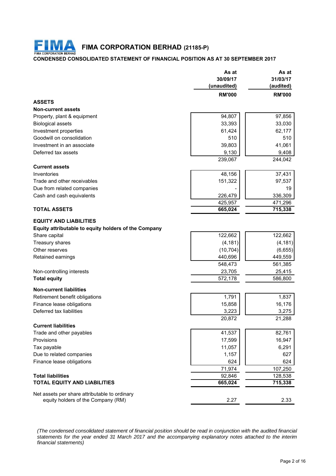# FINA CORPORATION BERHAD **FIMA CORPORATION BERHAD (21185-P)**

# **CONDENSED CONSOLIDATED STATEMENT OF FINANCIAL POSITION AS AT 30 SEPTEMBER 2017**

|                                                      | As at         | As at         |
|------------------------------------------------------|---------------|---------------|
|                                                      | 30/09/17      | 31/03/17      |
|                                                      | (unaudited)   | (audited)     |
|                                                      | <b>RM'000</b> | <b>RM'000</b> |
| <b>ASSETS</b>                                        |               |               |
| <b>Non-current assets</b>                            |               |               |
| Property, plant & equipment                          | 94,807        | 97,856        |
| <b>Biological assets</b>                             | 33,393        | 33,030        |
| Investment properties                                | 61,424        | 62,177        |
| Goodwill on consolidation                            | 510           | 510           |
| Investment in an associate                           | 39,803        | 41,061        |
| Deferred tax assets                                  | 9,130         | 9,408         |
|                                                      | 239,067       | 244,042       |
| <b>Current assets</b>                                |               |               |
| Inventories                                          | 48,156        | 37,431        |
| Trade and other receivables                          | 151,322       | 97,537        |
| Due from related companies                           |               | 19            |
| Cash and cash equivalents                            | 226,479       | 336,309       |
|                                                      | 425,957       | 471,296       |
| <b>TOTAL ASSETS</b>                                  | 665,024       | 715,338       |
|                                                      |               |               |
| <b>EQUITY AND LIABILITIES</b>                        |               |               |
| Equity attributable to equity holders of the Company |               |               |
| Share capital                                        | 122,662       | 122,662       |
| Treasury shares                                      | (4, 181)      | (4, 181)      |
| Other reserves                                       | (10, 704)     | (6,655)       |
| Retained earnings                                    | 440,696       | 449,559       |
|                                                      | 548,473       | 561,385       |
| Non-controlling interests                            | 23,705        | 25,415        |
| <b>Total equity</b>                                  | 572,178       | 586,800       |
| <b>Non-current liabilities</b>                       |               |               |
| Retirement benefit obligations                       | 1,791         | 1,837         |
| Finance lease obligations                            | 15,858        | 16,176        |
| Deferred tax liabilities                             | 3,223         | 3,275         |
|                                                      | 20,872        | 21,288        |
| <b>Current liabilities</b>                           |               |               |
| Trade and other payables                             | 41,537        | 82,761        |
| Provisions                                           | 17,599        | 16,947        |
| Tax payable                                          | 11,057        | 6,291         |
| Due to related companies                             | 1,157         | 627           |
| Finance lease obligations                            | 624           | 624           |
|                                                      | 71,974        | 107,250       |
| <b>Total liabilities</b>                             | 92,846        | 128,538       |
| <b>TOTAL EQUITY AND LIABILITIES</b>                  | 665,024       | 715,338       |
|                                                      |               |               |
| Net assets per share attributable to ordinary        |               |               |
| equity holders of the Company (RM)                   | 2.27          | 2.33          |

*(The condensed consolidated statement of financial position should be read in conjunction with the audited financial statements for the year ended 31 March 2017 and the accompanying explanatory notes attached to the interim financial statements)*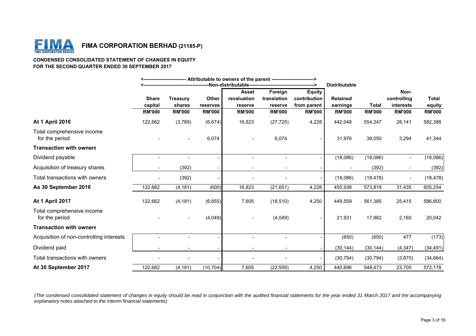

#### **CONDENSED CONSOLIDATED STATEMENT OF CHANGES IN EQUITY FOR THE SECOND QUARTER ENDED 30 SEPTEMBER 2017**

|                                              |               |                                |               | <-------------------------- Attributable to owners of the parent ------------------------> |                |               |                      |               |                  |               |
|----------------------------------------------|---------------|--------------------------------|---------------|--------------------------------------------------------------------------------------------|----------------|---------------|----------------------|---------------|------------------|---------------|
|                                              |               | ------------------------------ |               |                                                                                            |                |               | <b>Distributable</b> |               |                  |               |
|                                              |               |                                |               | <b>Asset</b>                                                                               | Foreign        | <b>Equity</b> |                      |               | Non-             |               |
|                                              | <b>Share</b>  | <b>Treasury</b>                | Other         | revaluation                                                                                | translation    | contribution  | <b>Retained</b>      |               | controlling      | <b>Total</b>  |
|                                              | capital       | shares                         | reserves      | reserve                                                                                    | reserve        | from parent   | earnings             | <b>Total</b>  | <b>interests</b> | equity        |
|                                              | <b>RM'000</b> | <b>RM'000</b>                  | <b>RM'000</b> | <b>RM'000</b>                                                                              | <b>RM'000</b>  | <b>RM'000</b> | <b>RM'000</b>        | <b>RM'000</b> | <b>RM'000</b>    | <b>RM'000</b> |
| <b>At 1 April 2016</b>                       | 122,662       | (3,789)                        | (6,674)       | 16,823                                                                                     | (27, 725)      | 4,228         | 442,048              | 554,247       | 28,141           | 582,388       |
| Total comprehensive income<br>for the period |               |                                | 6,074         |                                                                                            | 6,074          |               | 31,976               | 38,050        | 3,294            | 41,344        |
| <b>Transaction with owners</b>               |               |                                |               |                                                                                            |                |               |                      |               |                  |               |
| Dividend payable                             |               |                                |               |                                                                                            |                |               | (18,086)             | (18,086)      | $\blacksquare$   | (18,086)      |
| Acquisition of treasury shares               |               | (392)                          |               |                                                                                            |                |               |                      | (392)         |                  | (392)         |
| Total transactions with owners               |               | (392)                          |               |                                                                                            |                |               | (18,086)             | (18, 478)     |                  | (18, 478)     |
| As 30 September 2016                         | 122,662       | (4, 181)                       | (600)         | 16,823                                                                                     | (21, 651)      | 4,228         | 455,938              | 573,819       | 31,435           | 605,254       |
| <b>At 1 April 2017</b>                       | 122,662       | (4, 181)                       | (6,655)       | 7,605                                                                                      | (18, 510)      | 4,250         | 449,559              | 561,385       | 25,415           | 586,800       |
| Total comprehensive income<br>for the period |               | $\blacksquare$                 | (4,049)       |                                                                                            | (4,049)        |               | 21,931               | 17,882        | 2,160            | 20,042        |
| <b>Transaction with owners</b>               |               |                                |               |                                                                                            |                |               |                      |               |                  |               |
| Acquisition of non-controlling interests     |               | $\overline{a}$                 |               |                                                                                            | $\blacksquare$ |               | (650)                | (650)         | 477              | (173)         |
| Dividend paid                                |               | $\blacksquare$                 |               |                                                                                            |                |               | (30, 144)            | (30, 144)     | (4, 347)         | (34, 491)     |
| Total transactions with owners               |               |                                |               |                                                                                            |                |               | (30, 794)            | (30, 794)     | (3,870)          | (34, 664)     |
| At 30 September 2017                         | 122,662       | (4, 181)                       | (10, 704)     | 7,605                                                                                      | (22, 559)      | 4,250         | 440,696              | 548,473       | 23,705           | 572,178       |

(The condensed consolidated statement of changes in equity should be read in conjunction with the audited financial statements for the year ended 31 March 2017 and the accompanying *explanatory notes attached to the interim financial statements)*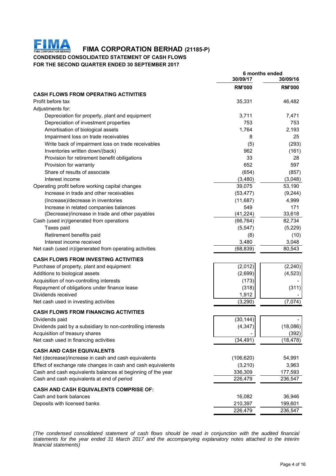

**FIMA CORPORATION BERHAD (21185-P)**

**CONDENSED CONSOLIDATED STATEMENT OF CASH FLOWS**

**FOR THE SECOND QUARTER ENDED 30 SEPTEMBER 2017**

|                                                              | 6 months ended<br>30/09/17 | 30/09/16        |
|--------------------------------------------------------------|----------------------------|-----------------|
|                                                              | <b>RM'000</b>              | <b>RM'000</b>   |
| <b>CASH FLOWS FROM OPERATING ACTIVITIES</b>                  |                            |                 |
| Profit before tax                                            | 35,331                     | 46,482          |
| Adjustments for:                                             |                            |                 |
| Depreciation for property, plant and equipment               | 3,711                      | 7,471           |
| Depreciation of investment properties                        | 753                        | 753             |
| Amortisation of biological assets                            | 1,764                      | 2,193           |
| Impairment loss on trade receivables                         | 8                          | 25              |
| Write back of impairment loss on trade receivables           | (5)                        | (293)           |
| Inventories written down/(back)                              | 962                        | (161)           |
| Provision for retirement benefit obiligations                | 33                         | 28              |
| Provision for warranty                                       | 652                        | 597             |
| Share of results of associate                                | (654)                      | (857)           |
| Interest income                                              | (3,480)                    | (3,048)         |
| Operating profit before working capital changes              | 39,075                     | 53,190          |
| Increase in trade and other receivables                      | (53, 477)                  | (9, 244)        |
| (Increase)/decrease in inventories                           | (11, 687)                  | 4,999           |
| Increase in related companies balances                       | 549                        | 171             |
| (Decrease)/increase in trade and other payables              | (41, 224)                  | 33,618          |
| Cash (used in)/generated from operations                     | (66, 764)                  | 82,734          |
| Taxes paid                                                   | (5, 547)                   | (5, 229)        |
| Retirement benefits paid<br>Interest income received         | (8)                        | (10)            |
| Net cash (used in)/generated from operating activities       | 3,480<br>(68, 839)         | 3,048<br>80,543 |
|                                                              |                            |                 |
| <b>CASH FLOWS FROM INVESTING ACTIVITIES</b>                  |                            |                 |
| Purchase of property, plant and equipment                    | (2,012)                    | (2, 240)        |
| Additions to biological assets                               | (2,699)                    | (4, 523)        |
| Acquisition of non-controlling interests                     | (173)                      |                 |
| Repayment of obligations under finance lease                 | (318)                      | (311)           |
| Dividends received                                           | 1,912                      |                 |
| Net cash used in investing activities                        | (3,290)                    | (7,074)         |
| <b>CASH FLOWS FROM FINANCING ACTIVITIES</b>                  |                            |                 |
| Dividends paid                                               | (30, 144)                  |                 |
| Dividends paid by a subsidiary to non-controlling interests  | (4, 347)                   | (18,086)        |
| Acquisition of treasury shares                               |                            | (392)           |
| Net cash used in financing activities                        | (34, 491)                  | (18, 478)       |
| <b>CASH AND CASH EQUIVALENTS</b>                             |                            |                 |
| Net (decrease)/increase in cash and cash equivalents         | (106, 620)                 | 54,991          |
| Effect of exchange rate changes in cash and cash equivalents | (3,210)                    | 3,963           |
| Cash and cash equivalents balances at beginning of the year  | 336,309                    | 177,593         |
| Cash and cash equivalents at end of period                   | 226,479                    | 236,547         |
| <b>CASH AND CASH EQUIVALENTS COMPRISE OF:</b>                |                            |                 |
| Cash and bank balances                                       | 16,082                     | 36,946          |
| Deposits with licensed banks                                 | 210,397                    | 199,601         |
|                                                              | 226,479                    | 236,547         |
|                                                              |                            |                 |

*(The condensed consolidated statement of cash flows should be read in conjunction with the audited financial statements for the year ended 31 March 2017 and the accompanying explanatory notes attached to the interim financial statements)*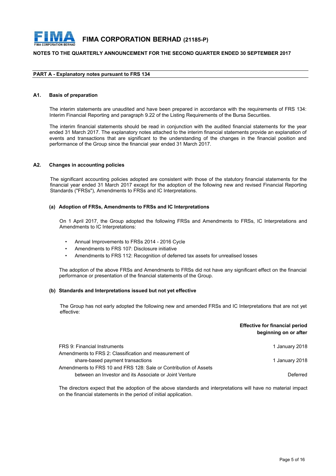

**FIMA CORPORATION BERHAD (21185-P)**

#### **NOTES TO THE QUARTERLY ANNOUNCEMENT FOR THE SECOND QUARTER ENDED 30 SEPTEMBER 2017**

#### **PART A - Explanatory notes pursuant to FRS 134**

#### **A1. Basis of preparation**

The interim statements are unaudited and have been prepared in accordance with the requirements of FRS 134: Interim Financial Reporting and paragraph 9.22 of the Listing Requirements of the Bursa Securities.

The interim financial statements should be read in conjunction with the audited financial statements for the year ended 31 March 2017. The explanatory notes attached to the interim financial statements provide an explanation of events and transactions that are significant to the understanding of the changes in the financial position and performance of the Group since the financial year ended 31 March 2017.

#### **A2. Changes in accounting policies**

The significant accounting policies adopted are consistent with those of the statutory financial statements for the financial year ended 31 March 2017 except for the adoption of the following new and revised Financial Reporting Standards ("FRSs"), Amendments to FRSs and IC Interpretations.

#### **(a) Adoption of FRSs, Amendments to FRSs and IC Interpretations**

On 1 April 2017, the Group adopted the following FRSs and Amendments to FRSs, IC Interpretations and Amendments to IC Interpretations:

- Annual Improvements to FRSs 2014 2016 Cycle
- Amendments to FRS 107: Disclosure initiative
- Amendments to FRS 112: Recognition of deferred tax assets for unrealised losses

The adoption of the above FRSs and Amendments to FRSs did not have any significant effect on the financial performance or presentation of the financial statements of the Group.

#### **(b) Standards and Interpretations issued but not yet effective**

The Group has not early adopted the following new and amended FRSs and IC Interpretations that are not yet effective:

|                                                                  | <b>Effective for financial period</b><br>beginning on or after |
|------------------------------------------------------------------|----------------------------------------------------------------|
| FRS 9: Financial Instruments                                     | 1 January 2018                                                 |
| Amendments to FRS 2: Classification and measurement of           |                                                                |
| share-based payment transactions                                 | 1 January 2018                                                 |
| Amendments to FRS 10 and FRS 128: Sale or Contribution of Assets |                                                                |
| between an Investor and its Associate or Joint Venture           | Deferred                                                       |

The directors expect that the adoption of the above standards and interpretations will have no material impact on the financial statements in the period of initial application.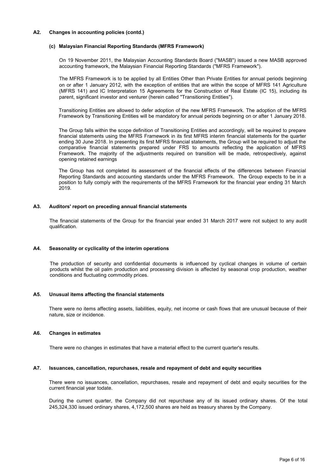#### **A2. Changes in accounting policies (contd.)**

#### **(c) Malaysian Financial Reporting Standards (MFRS Framework)**

On 19 November 2011, the Malaysian Accounting Standards Board ("MASB") issued a new MASB approved accounting framework, the Malaysian Financial Reporting Standards ("MFRS Framework").

The MFRS Framework is to be applied by all Entities Other than Private Entities for annual periods beginning on or after 1 January 2012, with the exception of entities that are within the scope of MFRS 141 Agriculture (MFRS 141) and IC Interpretation 15 Agreements for the Construction of Real Estate (IC 15), including its parent, significant investor and venturer (herein called "Transitioning Entities").

Transitioning Entities are allowed to defer adoption of the new MFRS Framework. The adoption of the MFRS Framework by Transitioning Entities will be mandatory for annual periods beginning on or after 1 January 2018.

The Group falls within the scope definition of Transitioning Entities and accordingly, will be required to prepare financial statements using the MFRS Framework in its first MFRS interim financial statements for the quarter ending 30 June 2018. In presenting its first MFRS financial statements, the Group will be required to adjust the comparative financial statements prepared under FRS to amounts reflecting the application of MFRS Framework. The majority of the adjustments required on transition will be made, retrospectively, against opening retained earnings

The Group has not completed its assessment of the financial effects of the differences between Financial Reporting Standards and accounting standards under the MFRS Framework. The Group expects to be in a position to fully comply with the requirements of the MFRS Framework for the financial year ending 31 March 2019.

#### **A3. Auditors' report on preceding annual financial statements**

The financial statements of the Group for the financial year ended 31 March 2017 were not subject to any audit qualification.

#### **A4. Seasonality or cyclicality of the interim operations**

The production of security and confidential documents is influenced by cyclical changes in volume of certain products whilst the oil palm production and processing division is affected by seasonal crop production, weather conditions and fluctuating commodity prices.

#### **A5. Unusual items affecting the financial statements**

There were no items affecting assets, liabilities, equity, net income or cash flows that are unusual because of their nature, size or incidence.

#### **A6. Changes in estimates**

There were no changes in estimates that have a material effect to the current quarter's results.

#### **A7. Issuances, cancellation, repurchases, resale and repayment of debt and equity securities**

There were no issuances, cancellation, repurchases, resale and repayment of debt and equity securities for the current financial year todate.

During the current quarter, the Company did not repurchase any of its issued ordinary shares. Of the total 245,324,330 issued ordinary shares, 4,172,500 shares are held as treasury shares by the Company.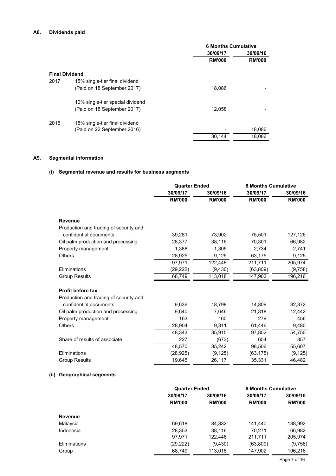# **A8. Dividends paid**

|                       |                                  | <b>6 Months Cumulative</b> |               |  |
|-----------------------|----------------------------------|----------------------------|---------------|--|
|                       |                                  | 30/09/17<br>30/09/16       |               |  |
|                       |                                  | <b>RM'000</b>              | <b>RM'000</b> |  |
| <b>Final Dividend</b> |                                  |                            |               |  |
| 2017                  | 15% single-tier final dividend   |                            |               |  |
|                       | (Paid on 18 September 2017)      | 18,086                     |               |  |
|                       | 10% single-tier special dividend |                            |               |  |
|                       | (Paid on 18 September 2017)      | 12,058                     |               |  |
| 2016                  | 15% single-tier final dividend   |                            |               |  |
|                       | (Paid on 22 September 2016)      |                            | 18,086        |  |
|                       |                                  | 30,144                     | 18,086        |  |

# **A9. Segmental information**

# **(i) Segmental revenue and results for business segments**

|                                        | <b>Quarter Ended</b> |               | <b>6 Months Cumulative</b> |               |
|----------------------------------------|----------------------|---------------|----------------------------|---------------|
|                                        | 30/09/17             | 30/09/16      | 30/09/17                   | 30/09/16      |
|                                        | <b>RM'000</b>        | <b>RM'000</b> | <b>RM'000</b>              | <b>RM'000</b> |
|                                        |                      |               |                            |               |
| <b>Revenue</b>                         |                      |               |                            |               |
| Production and trading of security and |                      |               |                            |               |
| confidential documents                 | 39,281               | 73,902        | 75,501                     | 127,126       |
| Oil palm production and processing     | 28,377               | 38,116        | 70,301                     | 66,982        |
| Property management                    | 1.388                | 1,305         | 2,734                      | 2,741         |
| <b>Others</b>                          | 28,925               | 9,125         | 63,175                     | 9,125         |
|                                        | 97,971               | 122,448       | 211,711                    | 205,974       |
| Eliminations                           | (29, 222)            | (9,430)       | (63,809)                   | (9,758)       |
| <b>Group Results</b>                   | 68,749               | 113,018       | 147,902                    | 196,216       |
| <b>Profit before tax</b>               |                      |               |                            |               |
| Production and trading of security and |                      |               |                            |               |
| confidential documents                 | 9,636                | 18,798        | 14,809                     | 32,372        |
| Oil palm production and processing     | 9,640                | 7,646         | 21,318                     | 12,442        |
| Property management                    | 163                  | 160           | 279                        | 456           |
| <b>Others</b>                          | 28,904               | 9,311         | 61,446                     | 9,480         |
|                                        | 48,343               | 35,915        | 97,852                     | 54,750        |
| Share of results of associate          | 227                  | (673)         | 654                        | 857           |
|                                        | 48,570               | 35,242        | 98,506                     | 55,607        |
| Eliminations                           | (28, 925)            | (9, 125)      | (63, 175)                  | (9, 125)      |
| <b>Group Results</b>                   | 19,645               | 26,117        | 35,331                     | 46,482        |

# **(ii) Geographical segments**

|                     | <b>Quarter Ended</b> |               | <b>6 Months Cumulative</b> |               |  |
|---------------------|----------------------|---------------|----------------------------|---------------|--|
|                     | 30/09/17             | 30/09/16      | 30/09/17                   | 30/09/16      |  |
|                     | <b>RM'000</b>        | <b>RM'000</b> | <b>RM'000</b>              | <b>RM'000</b> |  |
| Revenue             |                      |               |                            |               |  |
| Malaysia            | 69,618               | 84,332        | 141,440                    | 138,992       |  |
| Indonesia           | 28,353               | 38,116        | 70,271                     | 66,982        |  |
|                     | 97,971               | 122,448       | 211,711                    | 205,974       |  |
| <b>Eliminations</b> | (29, 222)            | (9, 430)      | (63, 809)                  | (9,758)       |  |
| Group               | 68,749               | 113,018       | 147,902                    | 196.216       |  |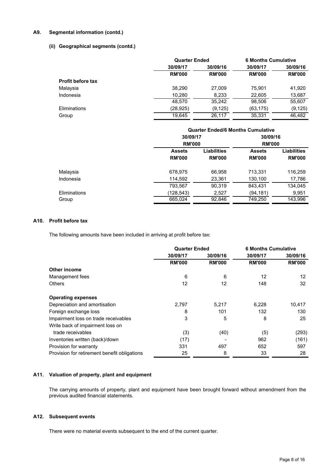#### **A9. Segmental information (contd.)**

### **(ii) Geographical segments (contd.)**

|                          |               | <b>Quarter Ended</b> |               | <b>6 Months Cumulative</b> |
|--------------------------|---------------|----------------------|---------------|----------------------------|
|                          | 30/09/17      | 30/09/16             | 30/09/17      | 30/09/16                   |
|                          | <b>RM'000</b> | <b>RM'000</b>        | <b>RM'000</b> | <b>RM'000</b>              |
| <b>Profit before tax</b> |               |                      |               |                            |
| Malaysia                 | 38,290        | 27,009               | 75.901        | 41,920                     |
| Indonesia                | 10,280        | 8,233                | 22.605        | 13,687                     |
|                          | 48.570        | 35,242               | 98,506        | 55,607                     |
| Eliminations             | (28, 925)     | (9, 125)             | (63, 175)     | (9, 125)                   |
| Group                    | 19,645        | 26,117               | 35,331        | 46,482                     |
|                          |               |                      |               |                            |

|              |               | <b>Quarter Ended/6 Months Cumulative</b> |               |               |  |  |
|--------------|---------------|------------------------------------------|---------------|---------------|--|--|
|              | 30/09/17      |                                          | 30/09/16      |               |  |  |
|              | <b>RM'000</b> |                                          | <b>RM'000</b> |               |  |  |
|              | <b>Assets</b> | Liabilities                              |               | Liabilities   |  |  |
|              | <b>RM'000</b> | <b>RM'000</b>                            | <b>RM'000</b> | <b>RM'000</b> |  |  |
| Malaysia     | 678,975       | 66,958                                   | 713,331       | 116,259       |  |  |
| Indonesia    | 114,592       | 23,361                                   | 130,100       | 17,786        |  |  |
|              | 793,567       | 90,319                                   | 843,431       | 134,045       |  |  |
| Eliminations | (128,543)     | 2,527                                    | (94,181)      | 9,951         |  |  |
| Group        | 665,024       | 92,846                                   | 749,250       | 143,996       |  |  |

#### **A10. Profit before tax**

The following amounts have been included in arriving at profit before tax:

|                                              | <b>Quarter Ended</b> |               | <b>6 Months Cumulative</b> |               |
|----------------------------------------------|----------------------|---------------|----------------------------|---------------|
|                                              | 30/09/17             | 30/09/16      | 30/09/17                   | 30/09/16      |
|                                              | <b>RM'000</b>        | <b>RM'000</b> | <b>RM'000</b>              | <b>RM'000</b> |
| Other income                                 |                      |               |                            |               |
| Management fees                              | 6                    | 6             | 12                         | 12            |
| <b>Others</b>                                | 12                   | 12            | 148                        | 32            |
| <b>Operating expenses</b>                    |                      |               |                            |               |
| Depreciation and amortisation                | 2,797                | 5,217         | 6,228                      | 10,417        |
| Foreign exchange loss                        | 8                    | 101           | 132                        | 130           |
| Impairment loss on trade receivables         | 3                    | 5             | 8                          | 25            |
| Write back of impairment loss on             |                      |               |                            |               |
| trade receivables                            | (3)                  | (40)          | (5)                        | (293)         |
| Inventories written (back)/down              | (17)                 |               | 962                        | (161)         |
| Provision for warranty                       | 331                  | 497           | 652                        | 597           |
| Provision for retirement benefit obligations | 25                   | 8             | 33                         | 28            |

# **A11. Valuation of property, plant and equipment**

The carrying amounts of property, plant and equipment have been brought forward without amendment from the previous audited financial statements.

#### **A12. Subsequent events**

There were no material events subsequent to the end of the current quarter.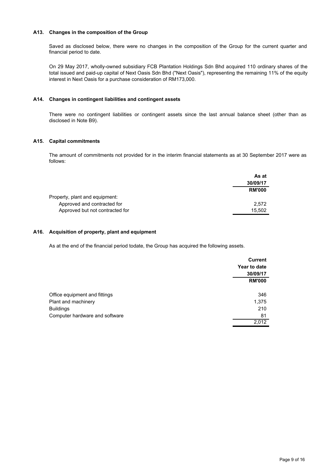### **A13. Changes in the composition of the Group**

Saved as disclosed below, there were no changes in the composition of the Group for the current quarter and financial period to date.

On 29 May 2017, wholly-owned subsidiary FCB Plantation Holdings Sdn Bhd acquired 110 ordinary shares of the total issued and paid-up capital of Next Oasis Sdn Bhd ("Next Oasis"), representing the remaining 11% of the equity interest in Next Oasis for a purchase consideration of RM173,000.

#### **A14. Changes in contingent liabilities and contingent assets**

There were no contingent liabilities or contingent assets since the last annual balance sheet (other than as disclosed in Note B9).

#### **A15. Capital commitments**

The amount of commitments not provided for in the interim financial statements as at 30 September 2017 were as follows:

|                                 | As at         |
|---------------------------------|---------------|
|                                 | 30/09/17      |
|                                 | <b>RM'000</b> |
| Property, plant and equipment:  |               |
| Approved and contracted for     | 2.572         |
| Approved but not contracted for | 15.502        |

### **A16. Acquisition of property, plant and equipment**

As at the end of the financial period todate, the Group has acquired the following assets.

|                                | <b>Current</b> |
|--------------------------------|----------------|
|                                | Year to date   |
|                                | 30/09/17       |
|                                | <b>RM'000</b>  |
|                                |                |
| Office equipment and fittings  | 346            |
| Plant and machinery            | 1,375          |
| <b>Buildings</b>               | 210            |
| Computer hardware and software | 81             |
|                                | 2,012          |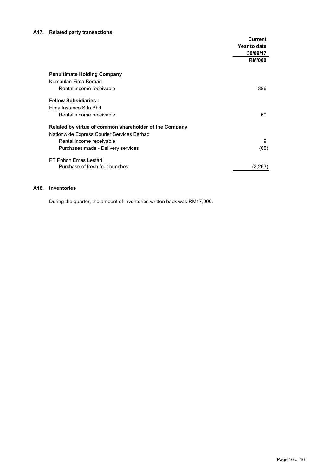# **A17. Related party transactions**

|                                                        | <b>Current</b> |
|--------------------------------------------------------|----------------|
|                                                        | Year to date   |
|                                                        | 30/09/17       |
|                                                        | <b>RM'000</b>  |
| <b>Penultimate Holding Company</b>                     |                |
|                                                        |                |
| Kumpulan Fima Berhad                                   |                |
| Rental income receivable                               | 386            |
| <b>Fellow Subsidiaries:</b>                            |                |
| Fima Instanco Sdn Bhd                                  |                |
| Rental income receivable                               | 60             |
| Related by virtue of common shareholder of the Company |                |
| Nationwide Express Courier Services Berhad             |                |
| Rental income receivable                               | 9              |
| Purchases made - Delivery services                     | (65)           |
|                                                        |                |
| PT Pohon Emas Lestari                                  |                |
| Purchase of fresh fruit bunches                        | (3,263)        |

# **A18. Inventories**

During the quarter, the amount of inventories written back was RM17,000.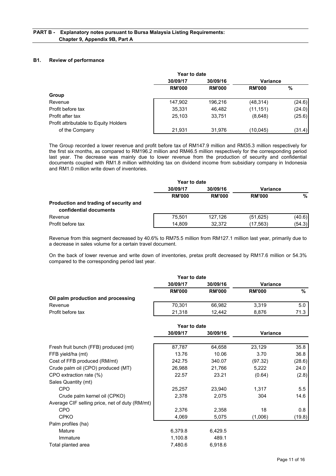#### **B1. Review of performance**

Palm profiles (ha)

|                                       | Year to date  |               |               |          |
|---------------------------------------|---------------|---------------|---------------|----------|
|                                       | 30/09/17      | 30/09/16      |               | Variance |
|                                       | <b>RM'000</b> | <b>RM'000</b> | <b>RM'000</b> | %        |
| Group                                 |               |               |               |          |
| Revenue                               | 147,902       | 196,216       | (48, 314)     | (24.6)   |
| Profit before tax                     | 35.331        | 46,482        | (11, 151)     | (24.0)   |
| Profit after tax                      | 25,103        | 33,751        | (8,648)       | (25.6)   |
| Profit attributable to Equity Holders |               |               |               |          |
| of the Company                        | 21.931        | 31.976        | (10, 045)     | (31.4)   |

The Group recorded a lower revenue and profit before tax of RM147.9 million and RM35.3 million respectively for the first six months, as compared to RM196.2 million and RM46.5 million respectively for the corresponding period last year. The decrease was mainly due to lower revenue from the production of security and confidential documents coupled with RM1.8 million withholding tax on dividend income from subsidiary company in Indonesia and RM1.0 million write down of inventories.

|                                        | Year to date  |               |                 |        |
|----------------------------------------|---------------|---------------|-----------------|--------|
|                                        | 30/09/17      | 30/09/16      | <b>Variance</b> |        |
|                                        | <b>RM'000</b> | <b>RM'000</b> | <b>RM'000</b>   | %      |
| Production and trading of security and |               |               |                 |        |
| confidential documents                 |               |               |                 |        |
| Revenue                                | 75.501        | 127,126       | (51, 625)       | (40.6) |
| Profit before tax                      | 14.809        | 32.372        | (17, 563)       | (54.3) |

Revenue from this segment decreased by 40.6% to RM75.5 million from RM127.1 million last year, primarily due to a decrease in sales volume for a certain travel document.

On the back of lower revenue and write down of inventories, pretax profit decreased by RM17.6 million or 54.3% compared to the corresponding period last year.

|                                                | Year to date  |               |               |        |
|------------------------------------------------|---------------|---------------|---------------|--------|
|                                                | 30/09/17      | 30/09/16      | Variance      |        |
|                                                | <b>RM'000</b> | <b>RM'000</b> | <b>RM'000</b> | %      |
| Oil palm production and processing             |               |               |               |        |
| Revenue                                        | 70,301        | 66,982        | 3,319         | 5.0    |
| Profit before tax                              | 21,318        | 12,442        | 8,876         | 71.3   |
|                                                | Year to date  |               |               |        |
|                                                | 30/09/17      | 30/09/16      | Variance      |        |
| Fresh fruit bunch (FFB) produced (mt)          | 87,787        | 64,658        | 23,129        | 35.8   |
| FFB yield/ha (mt)                              | 13.76         | 10.06         | 3.70          | 36.8   |
| Cost of FFB produced (RM/mt)                   | 242.75        | 340.07        | (97.32)       | (28.6) |
| Crude palm oil (CPO) produced (MT)             | 26,988        | 21,766        | 5,222         | 24.0   |
| CPO extraction rate (%)                        | 22.57         | 23.21         | (0.64)        | (2.8)  |
| Sales Quantity (mt)                            |               |               |               |        |
| <b>CPO</b>                                     | 25,257        | 23,940        | 1,317         | 5.5    |
| Crude palm kernel oil (CPKO)                   | 2,378         | 2,075         | 304           | 14.6   |
| Average CIF selling price, net of duty (RM/mt) |               |               |               |        |

CPO 2,376 2,358 18 0.8 CPKO 4,069 5,075 (1,006) (19.8)

Mature 6,379.8 6,429.5 Immature 1,100.8 489.1 Total planted area 6,918.6 6,918.6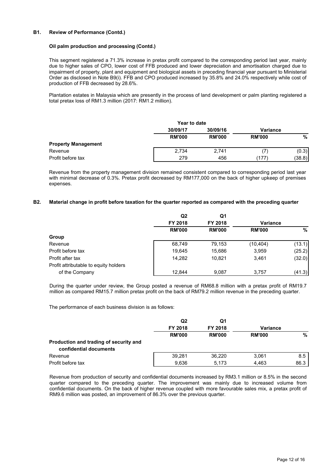#### **B1. Review of Performance (Contd.)**

#### **Oil palm production and processing (Contd.)**

This segment registered a 71.3% increase in pretax profit compared to the corresponding period last year, mainly due to higher sales of CPO, lower cost of FFB produced and lower depreciation and amortisation charged due to impairment of property, plant and equipment and biological assets in preceding financial year pursuant to Ministerial Order as disclosed in Note B9(i). FFB and CPO produced increased by 35.8% and 24.0% respectively while cost of production of FFB decreased by 28.6%.

Plantation estates in Malaysia which are presently in the process of land development or palm planting registered a total pretax loss of RM1.3 million (2017: RM1.2 million).

|                            | Year to date  |               |                 |        |
|----------------------------|---------------|---------------|-----------------|--------|
|                            | 30/09/17      | 30/09/16      | <b>Variance</b> |        |
|                            | <b>RM'000</b> | <b>RM'000</b> | <b>RM'000</b>   | %      |
| <b>Property Management</b> |               |               |                 |        |
| Revenue                    | 2.734         | 2.741         | 7               | (0.3)  |
| Profit before tax          | 279           | 456           | (177            | (38.8) |

Revenue from the property management division remained consistent compared to corresponding period last year with minimal decrease of 0.3%. Pretax profit decreased by RM177,000 on the back of higher upkeep of premises expenses.

#### **B2. Material change in profit before taxation for the quarter reported as compared with the preceding quarter**

|                                       | Q <sub>2</sub> | Q1            |                 |        |
|---------------------------------------|----------------|---------------|-----------------|--------|
|                                       | FY 2018        | FY 2018       | <b>Variance</b> |        |
|                                       | <b>RM'000</b>  | <b>RM'000</b> | <b>RM'000</b>   | %      |
| Group                                 |                |               |                 |        |
| Revenue                               | 68,749         | 79.153        | (10, 404)       | (13.1) |
| Profit before tax                     | 19,645         | 15,686        | 3,959           | (25.2) |
| Profit after tax                      | 14,282         | 10.821        | 3.461           | (32.0) |
| Profit attributable to equity holders |                |               |                 |        |
| of the Company                        | 12,844         | 9,087         | 3,757           | (41.3) |

During the quarter under review, the Group posted a revenue of RM68.8 million with a pretax profit of RM19.7 million as compared RM15.7 million pretax profit on the back of RM79.2 million revenue in the preceding quarter.

The performance of each business division is as follows:

|                                                                  | Q2            | Q1            |                 |      |
|------------------------------------------------------------------|---------------|---------------|-----------------|------|
|                                                                  | FY 2018       | FY 2018       | <b>Variance</b> |      |
|                                                                  | <b>RM'000</b> | <b>RM'000</b> | <b>RM'000</b>   | %    |
| Production and trading of security and<br>confidential documents |               |               |                 |      |
| Revenue                                                          | 39.281        | 36.220        | 3.061           | 8.5  |
| Profit before tax                                                | 9,636         | 5.173         | 4.463           | 86.3 |

Revenue from production of security and confidential documents increased by RM3.1 million or 8.5% in the second quarter compared to the preceding quarter. The improvement was mainly due to increased volume from confidential documents. On the back of higher revenue coupled with more favourable sales mix, a pretax profit of RM9.6 million was posted, an improvement of 86.3% over the previous quarter.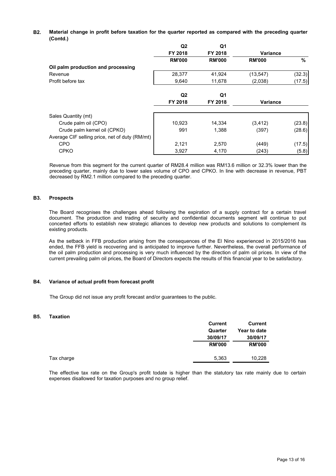#### **B2. Material change in profit before taxation for the quarter reported as compared with the preceding quarter (Contd.)**

|                                                | Q <sub>2</sub> | Q <sub>1</sub> |                 |        |
|------------------------------------------------|----------------|----------------|-----------------|--------|
|                                                | FY 2018        | FY 2018        | <b>Variance</b> |        |
|                                                | <b>RM'000</b>  | <b>RM'000</b>  | <b>RM'000</b>   | %      |
| Oil palm production and processing             |                |                |                 |        |
| Revenue                                        | 28,377         | 41,924         | (13, 547)       | (32.3) |
| Profit before tax                              | 9,640          | 11,678         | (2,038)         | (17.5) |
|                                                | Q <sub>2</sub> | Q1             |                 |        |
|                                                | FY 2018        | FY 2018        | <b>Variance</b> |        |
| Sales Quantity (mt)                            |                |                |                 |        |
| Crude palm oil (CPO)                           | 10,923         | 14,334         | (3, 412)        | (23.8) |
| Crude palm kernel oil (CPKO)                   | 991            | 1,388          | (397)           | (28.6) |
| Average CIF selling price, net of duty (RM/mt) |                |                |                 |        |
| <b>CPO</b>                                     | 2,121          | 2,570          | (449)           | (17.5) |
| <b>CPKO</b>                                    | 3,927          | 4,170          | (243)           | (5.8)  |

Revenue from this segment for the current quarter of RM28.4 million was RM13.6 million or 32.3% lower than the preceding quarter, mainly due to lower sales volume of CPO and CPKO. In line with decrease in revenue, PBT decreased by RM2.1 million compared to the preceding quarter.

#### **B3. Prospects**

The Board recognises the challenges ahead following the expiration of a supply contract for a certain travel document. The production and trading of security and confidential documents segment will continue to put concerted efforts to establish new strategic alliances to develop new products and solutions to complement its existing products.

As the setback in FFB production arising from the consequences of the El Nino experienced in 2015/2016 has ended, the FFB yield is recovering and is anticipated to improve further. Nevertheless, the overall performance of the oil palm production and processing is very much influenced by the direction of palm oil prices. In view of the current prevailing palm oil prices, the Board of Directors expects the results of this financial year to be satisfactory.

#### **B4. Variance of actual profit from forecast profit**

The Group did not issue any profit forecast and/or guarantees to the public.

#### **B5. Taxation**

|            | <b>Current</b> | <b>Current</b> |
|------------|----------------|----------------|
|            | Quarter        | Year to date   |
|            | 30/09/17       | 30/09/17       |
|            | <b>RM'000</b>  | <b>RM'000</b>  |
| Tax charge | 5,363          | 10,228         |

The effective tax rate on the Group's profit todate is higher than the statutory tax rate mainly due to certain expenses disallowed for taxation purposes and no group relief.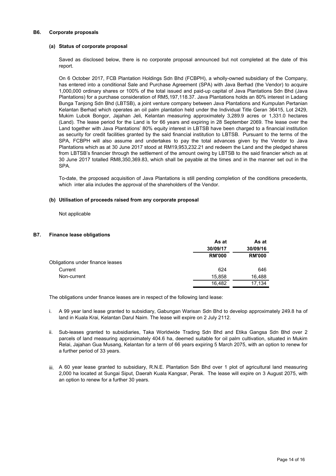#### **B6. Corporate proposals**

## **(a) Status of corporate proposal**

Saved as disclosed below, there is no corporate proposal announced but not completed at the date of this report.

On 6 October 2017, FCB Plantation Holdings Sdn Bhd (FCBPH), a wholly-owned subsidiary of the Company, has entered into a conditional Sale and Purchase Agreement (SPA) with Java Berhad (the Vendor) to acquire 1,000,000 ordinary shares or 100% of the total issued and paid-up capital of Java Plantations Sdn Bhd (Java Plantations) for a purchase consideration of RM5,197,118.37. Java Plantations holds an 80% interest in Ladang Bunga Tanjong Sdn Bhd (LBTSB), a joint venture company between Java Plantations and Kumpulan Pertanian Kelantan Berhad which operates an oil palm plantation held under the Individual Title Geran 36415, Lot 2429, Mukim Lubok Bongor, Jajahan Jeli, Kelantan measuring approximately 3,289.9 acres or 1,331.0 hectares (Land). The lease period for the Land is for 66 years and expiring in 28 September 2069. The lease over the Land together with Java Plantations' 80% equity interest in LBTSB have been charged to a financial institution as security for credit facilities granted by the said financial institution to LBTSB. Pursuant to the terms of the SPA, FCBPH will also assume and undertakes to pay the total advances given by the Vendor to Java Plantations which as at 30 June 2017 stood at RM19,953,232.21 and redeem the Land and the pledged shares from LBTSB's financier through the settlement of the amount owing by LBTSB to the said financier which as at 30 June 2017 totalled RM8,350,369.83, which shall be payable at the times and in the manner set out in the SPA.

To-date, the proposed acquisition of Java Plantations is still pending completion of the conditions precedents, which inter alia includes the approval of the shareholders of the Vendor.

#### **(b) Utilisation of proceeds raised from any corporate proposal**

Not applicable

#### **B7. Finance lease obligations**

|                                  | As at         | As at         |
|----------------------------------|---------------|---------------|
|                                  | 30/09/17      | 30/09/16      |
|                                  | <b>RM'000</b> | <b>RM'000</b> |
| Obligations under finance leases |               |               |
| Current                          | 624           | 646           |
| Non-current                      | 15,858        | 16.488        |
|                                  | 16.482        | 17.134        |

The obligations under finance leases are in respect of the following land lease:

- i. A 99 year land lease granted to subsidiary, Gabungan Warisan Sdn Bhd to develop approximately 249.8 ha of land in Kuala Krai, Kelantan Darul Naim. The lease will expire on 2 July 2112.
- ii. Sub-leases granted to subsidiaries, Taka Worldwide Trading Sdn Bhd and Etika Gangsa Sdn Bhd over 2 parcels of land measuring approximately 404.6 ha, deemed suitable for oil palm cultivation, situated in Mukim Relai, Jajahan Gua Musang, Kelantan for a term of 66 years expiring 5 March 2075, with an option to renew for a further period of 33 years.
- iii. A 60 year lease granted to subsidiary, R.N.E. Plantation Sdn Bhd over 1 plot of agricultural land measuring 2,000 ha located at Sungai Siput, Daerah Kuala Kangsar, Perak. The lease will expire on 3 August 2075, with an option to renew for a further 30 years.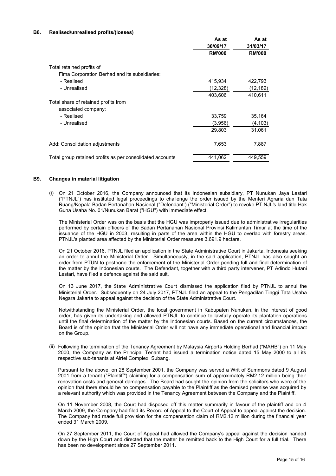|                                                           | As at         | As at         |
|-----------------------------------------------------------|---------------|---------------|
|                                                           | 30/09/17      | 31/03/17      |
|                                                           | <b>RM'000</b> | <b>RM'000</b> |
| Total retained profits of                                 |               |               |
| Fima Corporation Berhad and its subsidiaries:             |               |               |
| - Realised                                                | 415,934       | 422,793       |
| - Unrealised                                              | (12, 328)     | (12, 182)     |
|                                                           | 403,606       | 410,611       |
| Total share of retained profits from                      |               |               |
| associated company:                                       |               |               |
| - Realised                                                | 33,759        | 35,164        |
| - Unrealised                                              | (3,956)       | (4, 103)      |
|                                                           | 29,803        | 31,061        |
| Add: Consolidation adjustments                            | 7,653         | 7,887         |
| Total group retained profits as per consolidated accounts | 441,062       | 449,559       |

#### **B9. Changes in material litigation**

(i) On 21 October 2016, the Company announced that its Indonesian subsidiary, PT Nunukan Jaya Lestari ("PTNJL") has instituted legal proceedings to challenge the order issued by the Menteri Agraria dan Tata Ruang/Kepala Badan Pertanahan Nasional ("Defendant:) ("Ministerial Order") to revoke PT NJL's land title Hak Guna Usaha No. 01/Nunukan Barat ("HGU") with immediate effect.

The Ministerial Order was on the basis that the HGU was improperly issued due to administrative irregularities performed by certain officers of the Badan Pertanahan Nasional Provinsi Kalimantan Timur at the time of the issuance of the HGU in 2003, resulting in parts of the area within the HGU to overlap with forestry areas. PTNJL's planted area affected by the Ministerial Order measures 3,691.9 hectare.

On 21 October 2016, PTNJL filed an application in the State Administrative Court in Jakarta, Indonesia seeking an order to annul the Ministerial Order. Simultaneously, in the said application, PTNJL has also sought an order from PTUN to postpone the enforcement of the Ministerial Order pending full and final determination of the matter by the Indonesian courts. The Defendant, together with a third party intervener, PT Adindo Hutani Lestari, have filed a defence against the said suit.

On 13 June 2017, the State Administrative Court dismissed the application filed by PTNJL to annul the Ministerial Order. Subsequently on 24 July 2017, PTNJL filed an appeal to the Pengadilan Tinggi Tata Usaha Negara Jakarta to appeal against the decision of the State Administrative Court.

Notwithstanding the Ministerial Order, the local government in Kabupaten Nunukan, in the interest of good order, has given its undertaking and allowed PTNJL to continue to lawfully operate its plantation operations until the final determination of the matter by the Indonesian courts. Based on the current circumstances, the Board is of the opinion that the Ministerial Order will not have any immediate operational and financial impact on the Group.

(ii) Following the termination of the Tenancy Agreement by Malaysia Airports Holding Berhad ("MAHB") on 11 May 2000, the Company as the Principal Tenant had issued a termination notice dated 15 May 2000 to all its respective sub-tenants at Airtel Complex, Subang.

Pursuant to the above, on 28 September 2001, the Company was served a Writ of Summons dated 9 August 2001 from a tenant ("Plaintiff") claiming for a compensation sum of approximately RM2.12 million being their renovation costs and general damages. The Board had sought the opinion from the solicitors who were of the opinion that there should be no compensation payable to the Plaintiff as the demised premise was acquired by a relevant authority which was provided in the Tenancy Agreement between the Company and the Plaintiff.

On 11 November 2008, the Court had disposed off this matter summarily in favour of the plaintiff and on 4 March 2009, the Company had filed its Record of Appeal to the Court of Appeal to appeal against the decision. The Company had made full provision for the compensation claim of RM2.12 million during the financial year ended 31 March 2009.

On 27 September 2011, the Court of Appeal had allowed the Company's appeal against the decision handed down by the High Court and directed that the matter be remitted back to the High Court for a full trial. There has been no development since 27 September 2011.